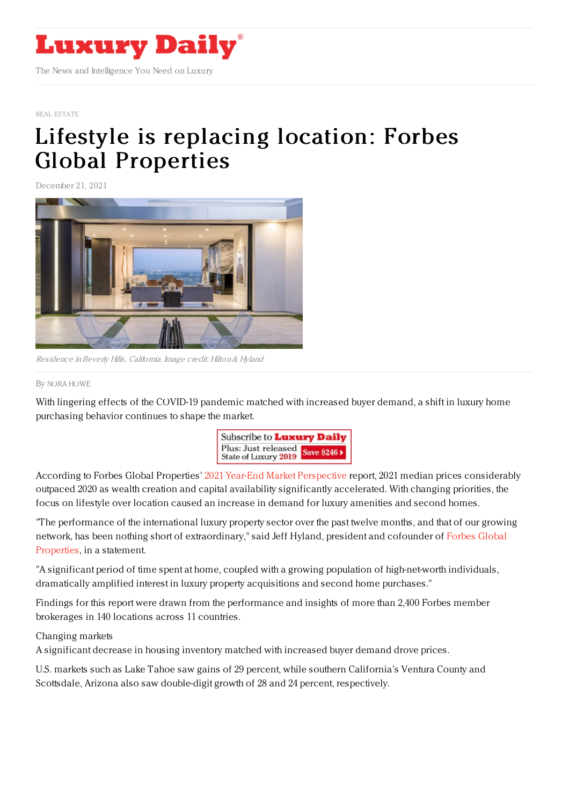

#### REAL [ESTATE](https://www.luxurydaily.com/category/sectors/real-estate/)

# Lifestyle is replacing location: Forbes Global [Properties](https://www.luxurydaily.com/lifestyle-is-replacing-location-forbes/)

December 21, 2021



Residence inBeverly Hills, California. Image credit: Hilton& Hyland

#### By NORA [HOWE](file:///author/nora-howe)

With lingering effects of the COVID-19 pandemic matched with increased buyer demand, a shift in luxury home purchasing behavior continues to shape the market.



According to Forbes Global Properties' 2021 Year-End Market [Perspective](https://www.forbesglobalproperties.com/annual-report/) report, 2021 median prices considerably outpaced 2020 as wealth creation and capital availability significantly accelerated. With changing priorities, the focus on lifestyle over location caused an increase in demand for luxury amenities and second homes.

"The performance of the international luxury property sector over the past twelve months, and that of our growing network, has been nothing short of [extraordinary,"](https://www.forbesglobalproperties.com/) said Jeff Hyland, president and cofounder of Forbes Global Properties, in a statement.

"A significant period of time spent at home, coupled with a growing population of high-net-worth individuals, dramatically amplified interest in luxury property acquisitions and second home purchases."

Findings for this report were drawn from the performance and insights of more than 2,400 Forbes member brokerages in 140 locations across 11 countries.

### Changing markets

A significant decrease in housing inventory matched with increased buyer demand drove prices.

U.S. markets such as Lake Tahoe saw gains of 29 percent, while southern California's Ventura County and Scottsdale, Arizona also saw double-digit growth of 28 and 24 percent, respectively.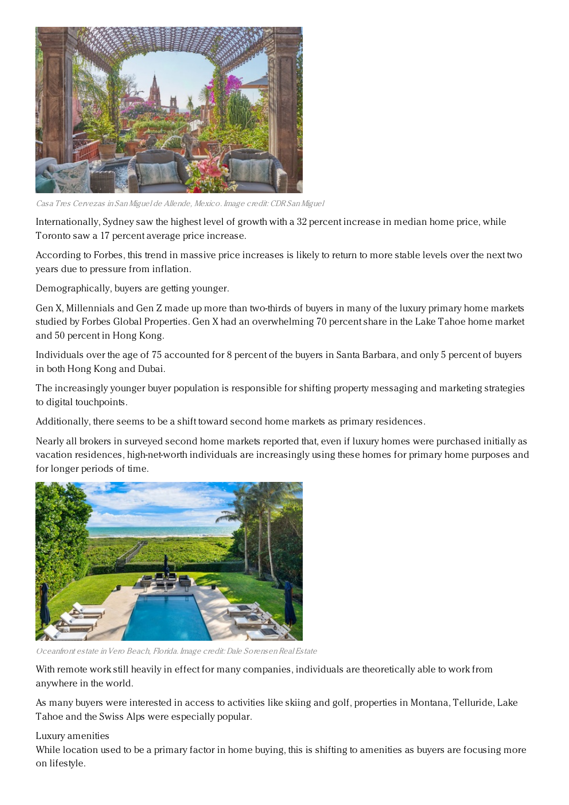

Tres Cervezas in San Miguel de Allende, Mexico. Image credit: CDR San Miguel

Internationally, Sydney saw the highest level of growth with a 32 percent increase in median home price, while Toronto saw a 17 percent average price increase.

According to Forbes, this trend in massive price increases is likely to return to more stable levels over the next two years due to pressure from inflation.

Demographically, buyers are getting younger.

Gen X, Millennials and Gen Z made up more than two-thirds of buyers in many of the luxury primary home markets studied by Forbes Global Properties. Gen X had an overwhelming 70 percent share in the Lake Tahoe home market and 50 percent in Hong Kong.

Individuals over the age of 75 accounted for 8 percent of the buyers in Santa Barbara, and only 5 percent of buyers in both Hong Kong and Dubai.

The increasingly younger buyer population is responsible for shifting property messaging and marketing strategies to digital touchpoints.

Additionally, there seems to be a shift toward second home markets as primary residences.

Nearly all brokers in surveyed second home markets reported that, even if luxury homes were purchased initially as vacation residences, high-net-worth individuals are increasingly using these homes for primary home purposes and for longer periods of time.



Oceanfront estate in Vero Beach, Florida. Image credit: Dale Sorensen Real Estate

With remote work still heavily in effect for many companies, individuals are theoretically able to work from anywhere in the world.

As many buyers were interested in access to activities like skiing and golf, properties in Montana, Telluride, Lake Tahoe and the Swiss Alps were especially popular.

## Luxury amenities

While location used to be a primary factor in home buying, this is shifting to amenities as buyers are focusing more on lifestyle.